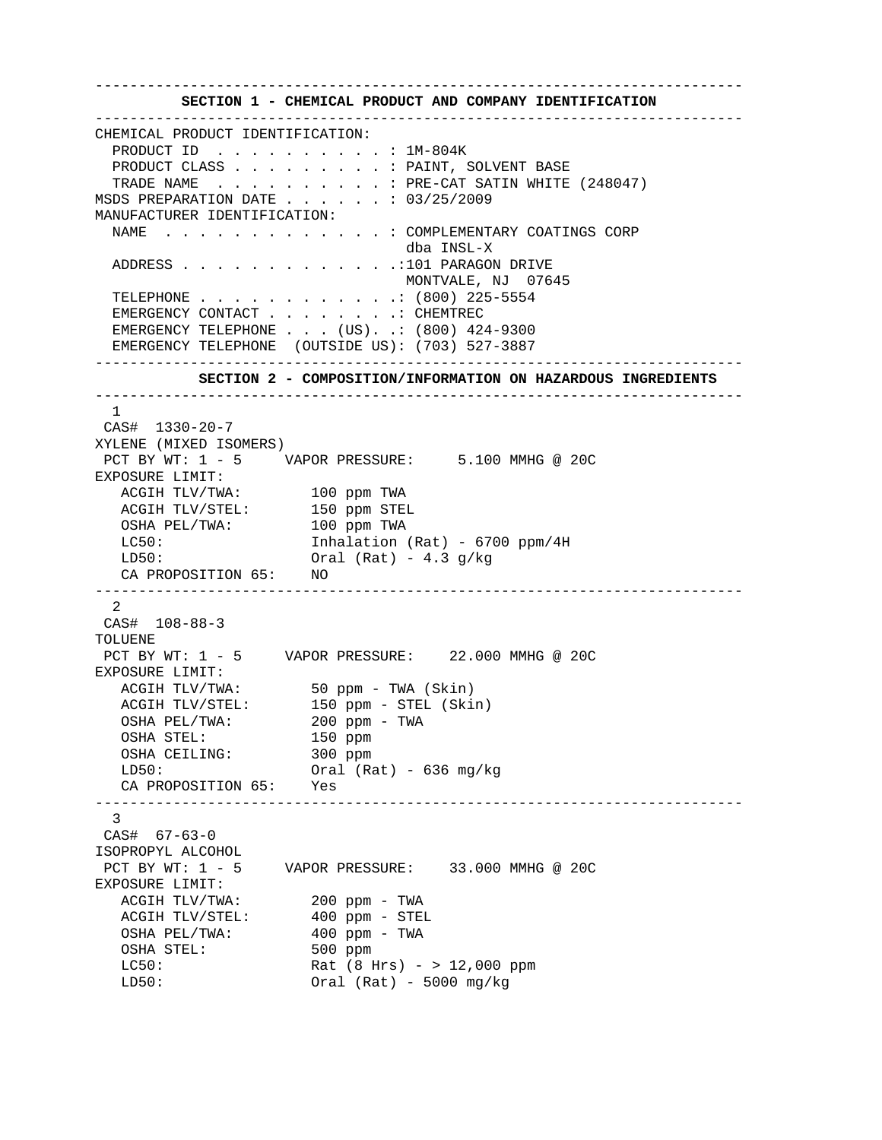**SECTION 1 - CHEMICAL PRODUCT AND COMPANY IDENTIFICATION**  --------------------------------------------------------------------------- CHEMICAL PRODUCT IDENTIFICATION: PRODUCT ID . . . . . . . . . . : 1M-804K PRODUCT CLASS . . . . . . . . . . PAINT, SOLVENT BASE TRADE NAME . . . . . . . . . . : PRE-CAT SATIN WHITE (248047) MSDS PREPARATION DATE . . . . . . : 03/25/2009 MANUFACTURER IDENTIFICATION: NAME . . . . . . . . . . . . . : COMPLEMENTARY COATINGS CORP dba INSL-X ADDRESS . . . . . . . . . . . . .:101 PARAGON DRIVE MONTVALE, NJ 07645 TELEPHONE . . . . . . . . . . . .: (800) 225-5554 EMERGENCY CONTACT . . . . . . . . CHEMTREC EMERGENCY TELEPHONE . . . (US). .: (800) 424-9300 EMERGENCY TELEPHONE (OUTSIDE US): (703) 527-3887 ---------------------------------------------------------------------------  **SECTION 2 - COMPOSITION/INFORMATION ON HAZARDOUS INGREDIENTS**  --------------------------------------------------------------------------- 1 CAS# 1330-20-7 XYLENE (MIXED ISOMERS) PCT BY WT: 1 - 5 VAPOR PRESSURE: 5.100 MMHG @ 20C EXPOSURE LIMIT: ACGIH TLV/TWA: 100 ppm TWA ACGIH TLV/STEL: 150 ppm STEL OSHA PEL/TWA: 100 ppm TWA LC50: Inhalation (Rat) - 6700 ppm/4H  $LD50:$  Oral (Rat) - 4.3 g/kg CA PROPOSITION 65: NO --------------------------------------------------------------------------- 2 CAS# 108-88-3 TOLUENE. PCT BY WT: 1 - 5 VAPOR PRESSURE: 22.000 MMHG @ 20C EXPOSURE LIMIT:<br>ACGIH TLV/TWA: ACGIH TLV/TWA: 50 ppm - TWA (Skin) ACGIH TLV/STEL: 150 ppm - STEL (Skin) OSHA PEL/TWA: 200 ppm - TWA OSHA STEL:<br>
OSHA CEILING: 150 ppm OSHA CEILING: LD50: Oral (Rat) - 636 mg/kg CA PROPOSITION 65: Yes --------------------------------------------------------------------------- 3 CAS# 67-63-0 ISOPROPYL ALCOHOL PCT BY WT: 1 - 5 VAPOR PRESSURE: 33.000 MMHG @ 20C EXPOSURE LIMIT: ACGIH TLV/TWA: 200 ppm - TWA<br>ACGIH TLV/STEL: 400 ppm - STEL ACGIH TLV/STEL: OSHA PEL/TWA: 400 ppm - TWA OSHA STEL: 500 ppm LC50: Rat (8 Hrs) - > 12,000 ppm LD50: Oral (Rat) - 5000 mg/kg

---------------------------------------------------------------------------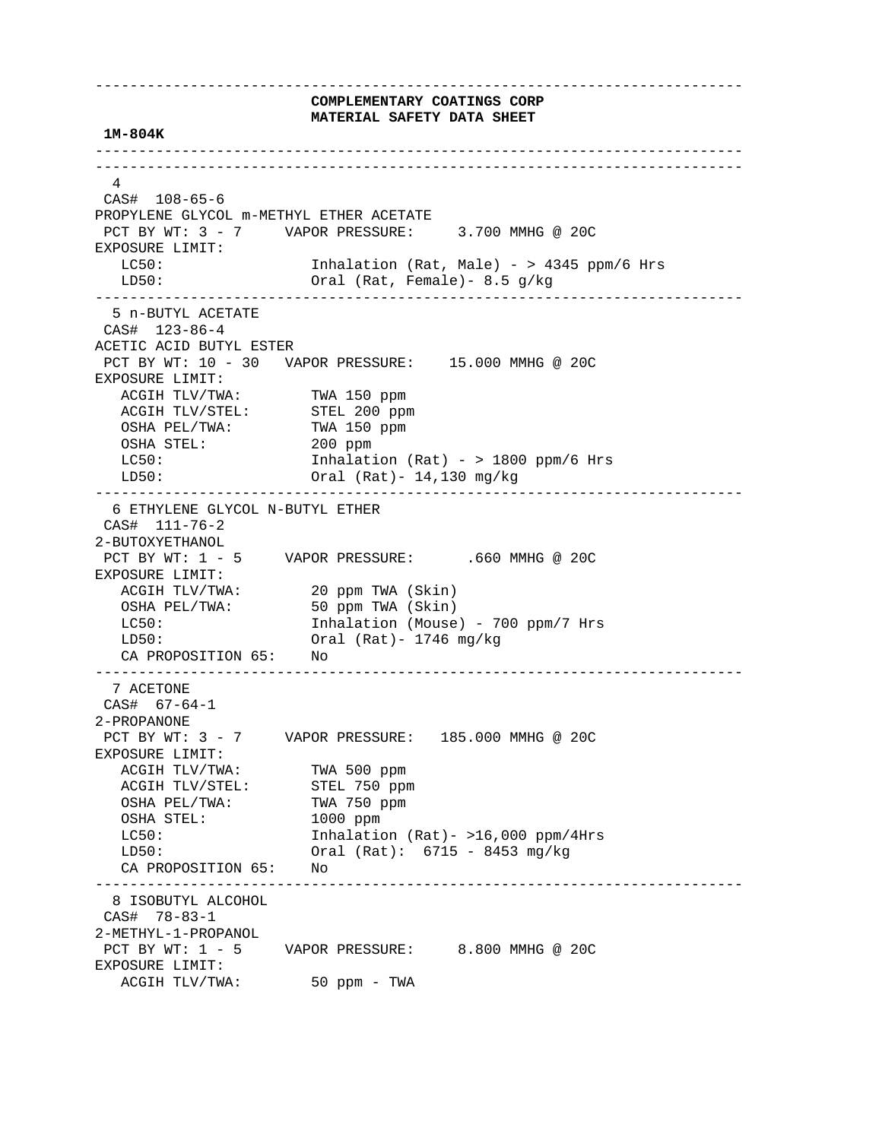---------------------------------------------------------------------------  **COMPLEMENTARY COATINGS CORP MATERIAL SAFETY DATA SHEET 1M-804K**  --------------------------------------------------------------------------- --------------------------------------------------------------------------- 4 CAS# 108-65-6 PROPYLENE GLYCOL m-METHYL ETHER ACETATE PCT BY WT: 3 - 7 VAPOR PRESSURE: 3.700 MMHG @ 20C EXPOSURE LIMIT: LC50: Inhalation (Rat, Male) - > 4345 ppm/6 Hrs LD50: Oral (Rat, Female)- 8.5 g/kg --------------------------------------------------------------------------- 5 n-BUTYL ACETATE CAS# 123-86-4 ACETIC ACID BUTYL ESTER PCT BY WT: 10 - 30 VAPOR PRESSURE: 15.000 MMHG @ 20C EXPOSURE LIMIT: ACGIH TLV/TWA: TWA 150 ppm ACGIH TLV/STEL: STEL 200 ppm OSHA PEL/TWA: TWA 150 ppm OSHA STEL: 200 ppm LC50: Inhalation (Rat) - > 1800 ppm/6 Hrs LD50: Oral (Rat)- 14,130 mg/kg --------------------------------------------------------------------------- 6 ETHYLENE GLYCOL N-BUTYL ETHER CAS# 111-76-2 2-BUTOXYETHANOL PCT BY WT: 1 - 5 VAPOR PRESSURE: .660 MMHG @ 20C EXPOSURE LIMIT: ACGIH TLV/TWA: 20 ppm TWA (Skin) OSHA PEL/TWA: 50 ppm TWA (Skin) LC50: Inhalation (Mouse) - 700 ppm/7 Hrs LD50: Oral (Rat)- 1746 mg/kg CA PROPOSITION 65: No --------------------------------------------------------------------------- 7 ACETONE CAS# 67-64-1 2-PROPANONE PCT BY WT: 3 - 7 VAPOR PRESSURE: 185.000 MMHG @ 20C EXPOSURE LIMIT: ACGIH TLV/TWA: TWA 500 ppm<br>ACGIH TLV/STEL: STEL 750 ppm ACGIH TLV/STEL: STEL 750 ppm<br>
OSHA PEL/TWA: TWA 750 ppm OSHA PEL/TWA: TWA 750 pm<br>
OSHA STEL: 1000 ppm OSHA STEL: LC50: Inhalation (Rat) - >16,000 ppm/4Hrs LD50: Oral (Rat): 6715 - 8453 mg/kg CA PROPOSITION 65: No --------------------------------------------------------------------------- 8 ISOBUTYL ALCOHOL CAS# 78-83-1 2-METHYL-1-PROPANOL PCT BY WT: 1 - 5 VAPOR PRESSURE: 8.800 MMHG @ 20C EXPOSURE LIMIT: ACGIH TLV/TWA: 50 ppm - TWA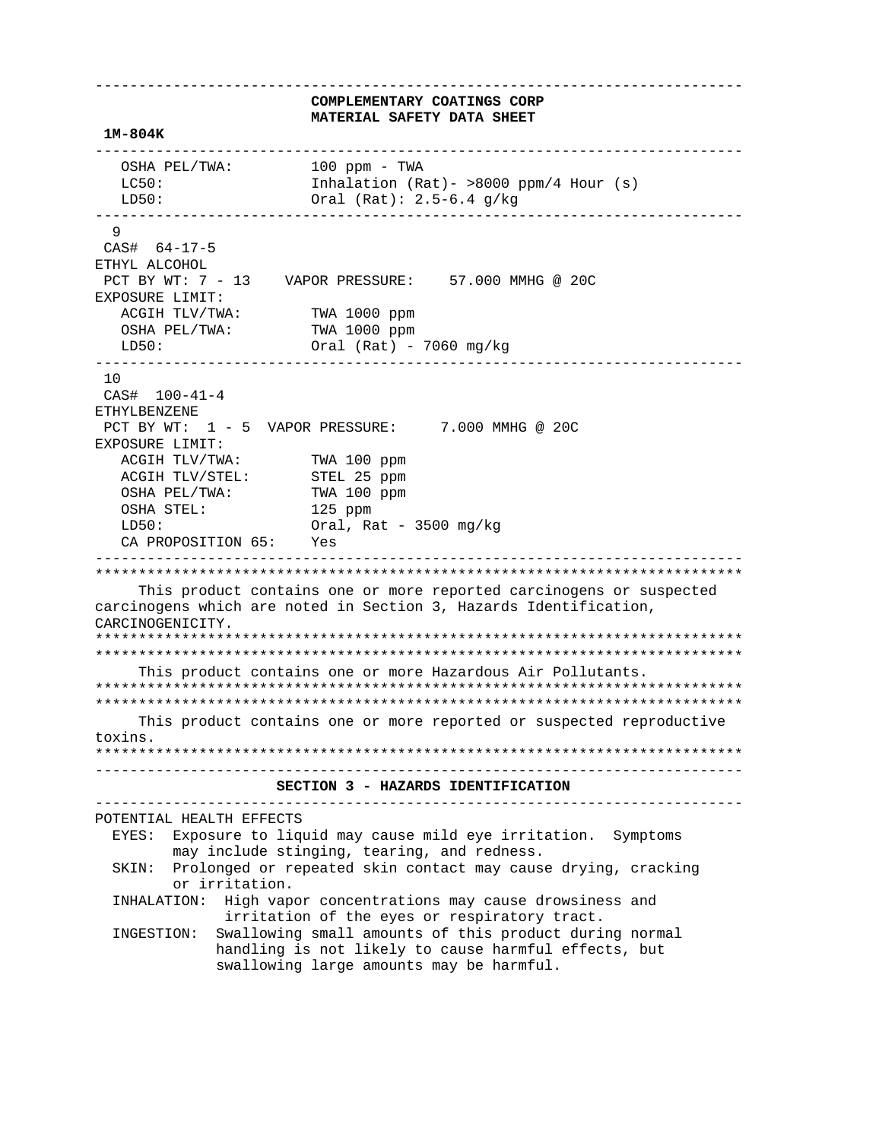**COMPLEMENTARY COATINGS CORP MATERIAL SAFETY DATA SHEET 1M-804K**  --------------------------------------------------------------------------- OSHA PEL/TWA: 100 ppm - TWA LC50: Inhalation (Rat) - >8000 ppm/4 Hour (s) LD50: Oral (Rat): 2.5-6.4 g/kg --------------------------------------------------------------------------- 9 CAS# 64-17-5 ETHYL ALCOHOL PCT BY WT: 7 - 13 VAPOR PRESSURE: 57.000 MMHG @ 20C EXPOSURE LIMIT: ACGIH TLV/TWA: TWA 1000 ppm OSHA PEL/TWA: TWA 1000 ppm LD50: Oral (Rat) - 7060 mg/kg --------------------------------------------------------------------------- 10 CAS# 100-41-4 ETHYLBENZENE PCT BY WT:  $1 - 5$  VAPOR PRESSURE: 7.000 MMHG @ 20C EXPOSURE LIMIT: ACGIH TLV/TWA: TWA 100 ppm<br>ACGIH TLV/STEL: STEL 25 ppm ACGIH TLV/STEL:  $%$  OSHA PEL/TWA: TWA 100 ppm OSHA STEL: 125 ppm LD50: Oral, Rat - 3500 mg/kg CA PROPOSITION 65: Yes --------------------------------------------------------------------------- \*\*\*\*\*\*\*\*\*\*\*\*\*\*\*\*\*\*\*\*\*\*\*\*\*\*\*\*\*\*\*\*\*\*\*\*\*\*\*\*\*\*\*\*\*\*\*\*\*\*\*\*\*\*\*\*\*\*\*\*\*\*\*\*\*\*\*\*\*\*\*\*\*\*\* This product contains one or more reported carcinogens or suspected carcinogens which are noted in Section 3, Hazards Identification, CARCINOGENICITY. \*\*\*\*\*\*\*\*\*\*\*\*\*\*\*\*\*\*\*\*\*\*\*\*\*\*\*\*\*\*\*\*\*\*\*\*\*\*\*\*\*\*\*\*\*\*\*\*\*\*\*\*\*\*\*\*\*\*\*\*\*\*\*\*\*\*\*\*\*\*\*\*\*\*\* \*\*\*\*\*\*\*\*\*\*\*\*\*\*\*\*\*\*\*\*\*\*\*\*\*\*\*\*\*\*\*\*\*\*\*\*\*\*\*\*\*\*\*\*\*\*\*\*\*\*\*\*\*\*\*\*\*\*\*\*\*\*\*\*\*\*\*\*\*\*\*\*\*\*\* This product contains one or more Hazardous Air Pollutants. \*\*\*\*\*\*\*\*\*\*\*\*\*\*\*\*\*\*\*\*\*\*\*\*\*\*\*\*\*\*\*\*\*\*\*\*\*\*\*\*\*\*\*\*\*\*\*\*\*\*\*\*\*\*\*\*\*\*\*\*\*\*\*\*\*\*\*\*\*\*\*\*\*\*\* \*\*\*\*\*\*\*\*\*\*\*\*\*\*\*\*\*\*\*\*\*\*\*\*\*\*\*\*\*\*\*\*\*\*\*\*\*\*\*\*\*\*\*\*\*\*\*\*\*\*\*\*\*\*\*\*\*\*\*\*\*\*\*\*\*\*\*\*\*\*\*\*\*\*\* This product contains one or more reported or suspected reproductive toxins. \*\*\*\*\*\*\*\*\*\*\*\*\*\*\*\*\*\*\*\*\*\*\*\*\*\*\*\*\*\*\*\*\*\*\*\*\*\*\*\*\*\*\*\*\*\*\*\*\*\*\*\*\*\*\*\*\*\*\*\*\*\*\*\*\*\*\*\*\*\*\*\*\*\*\* ---------------------------------------------------------------------------  **SECTION 3 - HAZARDS IDENTIFICATION**  --------------------------------------------------------------------------- POTENTIAL HEALTH EFFECTS EYES: Exposure to liquid may cause mild eye irritation. Symptoms may include stinging, tearing, and redness. SKIN: Prolonged or repeated skin contact may cause drying, cracking or irritation. INHALATION: High vapor concentrations may cause drowsiness and irritation of the eyes or respiratory tract. INGESTION: Swallowing small amounts of this product during normal handling is not likely to cause harmful effects, but swallowing large amounts may be harmful.

---------------------------------------------------------------------------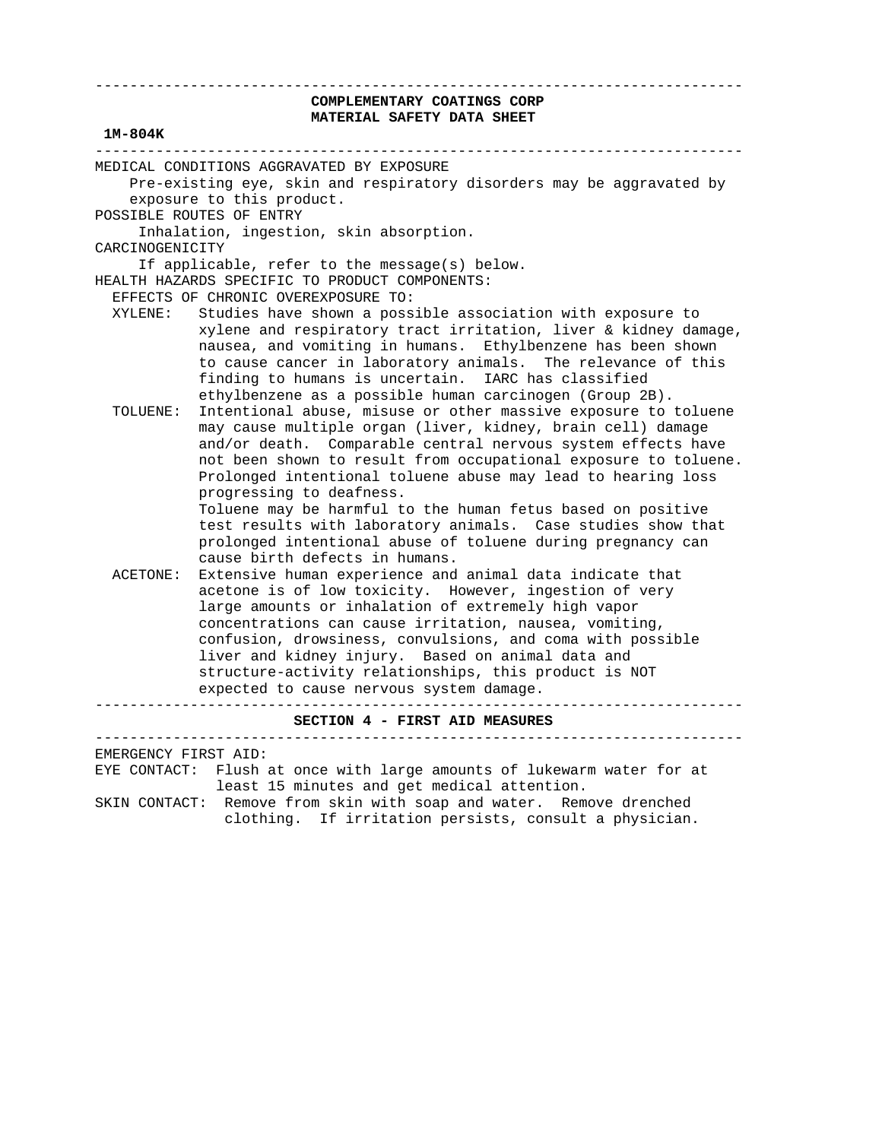## **COMPLEMENTARY COATINGS CORP MATERIAL SAFETY DATA SHEET**

---------------------------------------------------------------------------

# **1M-804K**  --------------------------------------------------------------------------- MEDICAL CONDITIONS AGGRAVATED BY EXPOSURE Pre-existing eye, skin and respiratory disorders may be aggravated by exposure to this product. POSSIBLE ROUTES OF ENTRY Inhalation, ingestion, skin absorption. CARCINOGENICITY If applicable, refer to the message(s) below. HEALTH HAZARDS SPECIFIC TO PRODUCT COMPONENTS: EFFECTS OF CHRONIC OVEREXPOSURE TO: XYLENE: Studies have shown a possible association with exposure to xylene and respiratory tract irritation, liver & kidney damage, nausea, and vomiting in humans. Ethylbenzene has been shown to cause cancer in laboratory animals. The relevance of this finding to humans is uncertain. IARC has classified ethylbenzene as a possible human carcinogen (Group 2B). TOLUENE: Intentional abuse, misuse or other massive exposure to toluene may cause multiple organ (liver, kidney, brain cell) damage and/or death. Comparable central nervous system effects have not been shown to result from occupational exposure to toluene. Prolonged intentional toluene abuse may lead to hearing loss progressing to deafness. Toluene may be harmful to the human fetus based on positive test results with laboratory animals. Case studies show that prolonged intentional abuse of toluene during pregnancy can cause birth defects in humans. ACETONE: Extensive human experience and animal data indicate that acetone is of low toxicity. However, ingestion of very large amounts or inhalation of extremely high vapor concentrations can cause irritation, nausea, vomiting, confusion, drowsiness, convulsions, and coma with possible liver and kidney injury. Based on animal data and structure-activity relationships, this product is NOT expected to cause nervous system damage. ---------------------------------------------------------------------------

#### **SECTION 4 - FIRST AID MEASURES**

---------------------------------------------------------------------------

EMERGENCY FIRST AID:

 EYE CONTACT: Flush at once with large amounts of lukewarm water for at least 15 minutes and get medical attention.

 SKIN CONTACT: Remove from skin with soap and water. Remove drenched clothing. If irritation persists, consult a physician.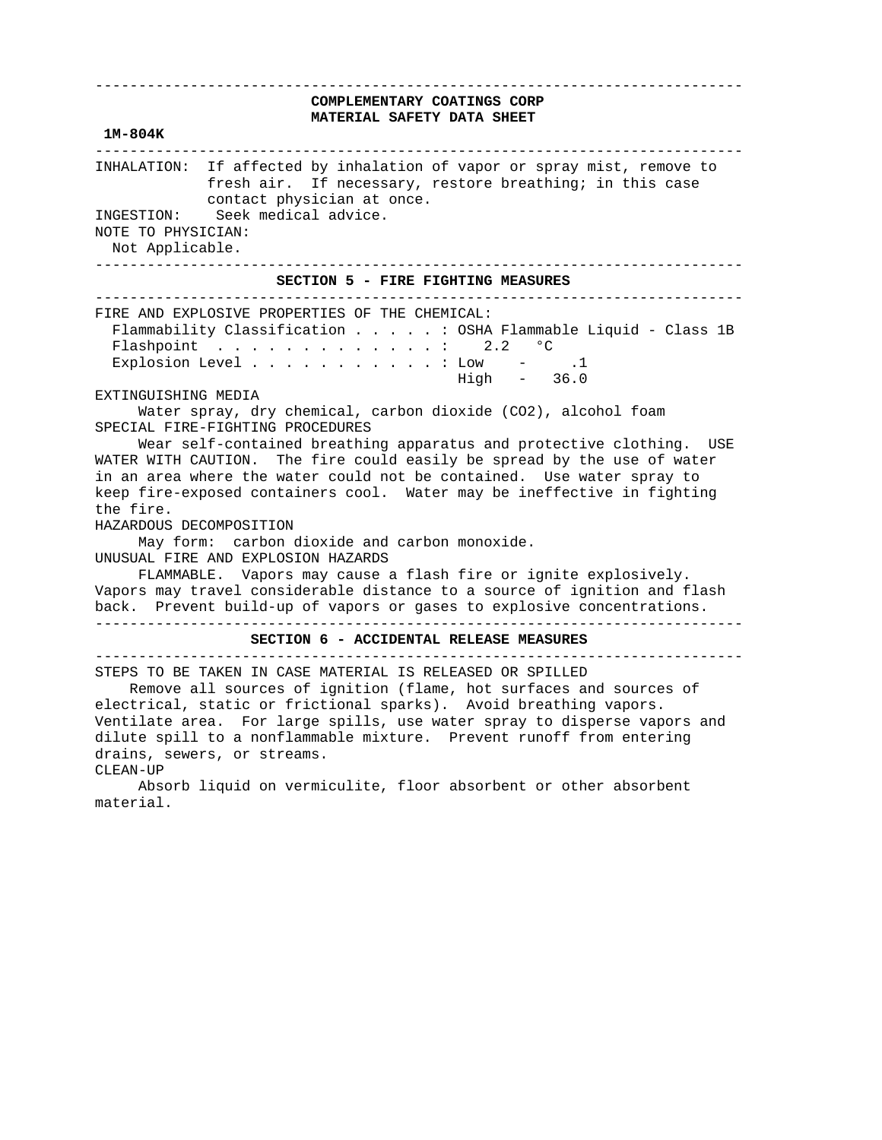### ---------------------------------------------------------------------------  **COMPLEMENTARY COATINGS CORP MATERIAL SAFETY DATA SHEET**

#### **1M-804K**

 --------------------------------------------------------------------------- INHALATION: If affected by inhalation of vapor or spray mist, remove to fresh air. If necessary, restore breathing; in this case contact physician at once. INGESTION: Seek medical advice. NOTE TO PHYSICIAN: Not Applicable. ---------------------------------------------------------------------------

 **SECTION 5 - FIRE FIGHTING MEASURES** 

---------------------------------------------------------------------------

 FIRE AND EXPLOSIVE PROPERTIES OF THE CHEMICAL: Flammability Classification . . . . . : OSHA Flammable Liquid - Class 1B Flashpoint  $\ldots$  . . . . . . . . . . . 2.2 °C Explosion Level  $\ldots$  . . . . . . . . . Low - .1 High - 36.0

EXTINGUISHING MEDIA

 Water spray, dry chemical, carbon dioxide (CO2), alcohol foam SPECIAL FIRE-FIGHTING PROCEDURES

 Wear self-contained breathing apparatus and protective clothing. USE WATER WITH CAUTION. The fire could easily be spread by the use of water in an area where the water could not be contained. Use water spray to keep fire-exposed containers cool. Water may be ineffective in fighting the fire.

HAZARDOUS DECOMPOSITION

 May form: carbon dioxide and carbon monoxide. UNUSUAL FIRE AND EXPLOSION HAZARDS

 FLAMMABLE. Vapors may cause a flash fire or ignite explosively. Vapors may travel considerable distance to a source of ignition and flash back. Prevent build-up of vapors or gases to explosive concentrations.

---------------------------------------------------------------------------

 **SECTION 6 - ACCIDENTAL RELEASE MEASURES**  ---------------------------------------------------------------------------

STEPS TO BE TAKEN IN CASE MATERIAL IS RELEASED OR SPILLED

 Remove all sources of ignition (flame, hot surfaces and sources of electrical, static or frictional sparks). Avoid breathing vapors. Ventilate area. For large spills, use water spray to disperse vapors and dilute spill to a nonflammable mixture. Prevent runoff from entering drains, sewers, or streams.

CLEAN-UP

 Absorb liquid on vermiculite, floor absorbent or other absorbent material.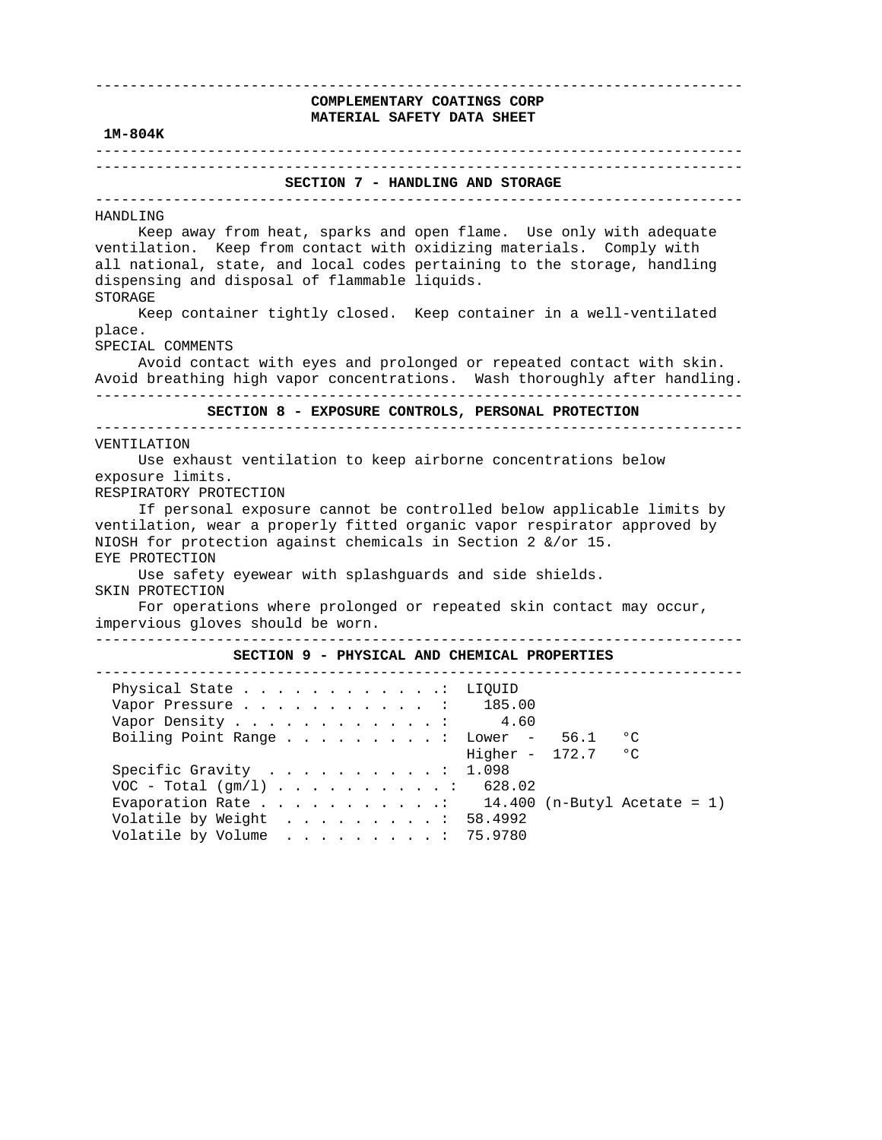---------------------------------------------------------------------------  **COMPLEMENTARY COATINGS CORP MATERIAL SAFETY DATA SHEET 1M-804K**  --------------------------------------------------------------------------- ---------------------------------------------------------------------------  **SECTION 7 - HANDLING AND STORAGE**  --------------------------------------------------------------------------- HANDLING Keep away from heat, sparks and open flame. Use only with adequate ventilation. Keep from contact with oxidizing materials. Comply with all national, state, and local codes pertaining to the storage, handling dispensing and disposal of flammable liquids. STORAGE Keep container tightly closed. Keep container in a well-ventilated place. SPECIAL COMMENTS Avoid contact with eyes and prolonged or repeated contact with skin. Avoid breathing high vapor concentrations. Wash thoroughly after handling. ---------------------------------------------------------------------------  **SECTION 8 - EXPOSURE CONTROLS, PERSONAL PROTECTION**  --------------------------------------------------------------------------- VENTILATION Use exhaust ventilation to keep airborne concentrations below exposure limits. RESPIRATORY PROTECTION If personal exposure cannot be controlled below applicable limits by ventilation, wear a properly fitted organic vapor respirator approved by NIOSH for protection against chemicals in Section 2 &/or 15. EYE PROTECTION Use safety eyewear with splashguards and side shields. SKIN PROTECTION For operations where prolonged or repeated skin contact may occur, impervious gloves should be worn. ---------------------------------------------------------------------------  **SECTION 9 - PHYSICAL AND CHEMICAL PROPERTIES**  --------------------------------------------------------------------------- Physical State . . . . . . . . . . . . . LIQUID<br>Vapor Pressure . . . . . . . . . . . : 185.00 Vapor Pressure . . . . . . . . . . . : Vapor Density . . . . . . . . . . . . : 4.60 Boiling Point Range . . . . . . . . : Lower - 56.1 °C Higher - 172.7 °C Specific Gravity . . . . . . . . . . : 1.098 VOC - Total  $(gm/1)$  . . . . . . . . . . . 628.02<br>Evaporation Rate . . . . . . . . . . . . 14.400 (n-Butyl Acetate = 1) Evaporation Rate . . . . . . . . . . . : Volatile by Weight . . . . . . . . . : 58.4992 Volatile by Volume . . . . . . . . . : 75.9780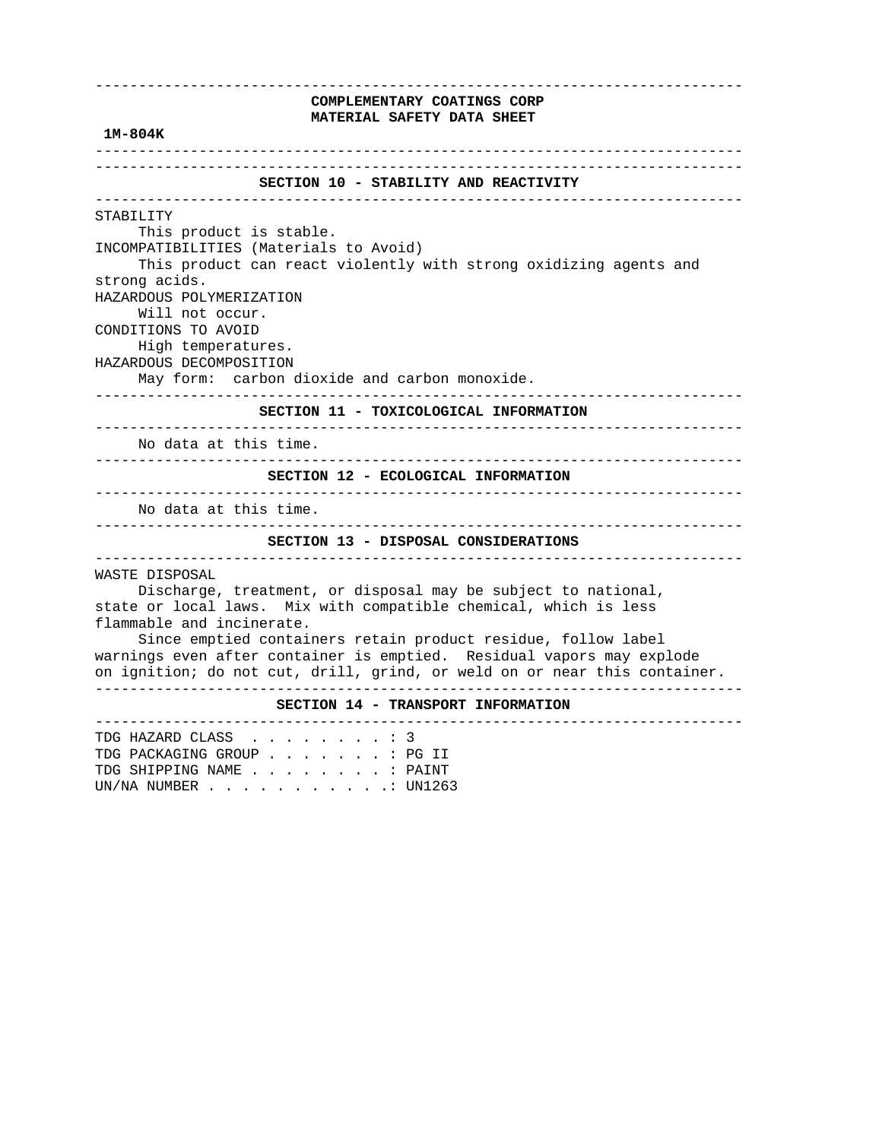# ---------------------------------------------------------------------------  **COMPLEMENTARY COATINGS CORP MATERIAL SAFETY DATA SHEET 1M-804K**  --------------------------------------------------------------------------- ---------------------------------------------------------------------------  **SECTION 10 - STABILITY AND REACTIVITY**  --------------------------------------------------------------------------- STABILITY This product is stable. INCOMPATIBILITIES (Materials to Avoid) This product can react violently with strong oxidizing agents and strong acids. HAZARDOUS POLYMERIZATION Will not occur. CONDITIONS TO AVOID High temperatures. HAZARDOUS DECOMPOSITION May form: carbon dioxide and carbon monoxide. ---------------------------------------------------------------------------  **SECTION 11 - TOXICOLOGICAL INFORMATION**  --------------------------------------------------------------------------- No data at this time. ---------------------------------------------------------------------------  **SECTION 12 - ECOLOGICAL INFORMATION**  --------------------------------------------------------------------------- No data at this time. ---------------------------------------------------------------------------  **SECTION 13 - DISPOSAL CONSIDERATIONS**  --------------------------------------------------------------------------- WASTE DISPOSAL Discharge, treatment, or disposal may be subject to national, state or local laws. Mix with compatible chemical, which is less flammable and incinerate. Since emptied containers retain product residue, follow label warnings even after container is emptied. Residual vapors may explode on ignition; do not cut, drill, grind, or weld on or near this container. ---------------------------------------------------------------------------  **SECTION 14 - TRANSPORT INFORMATION**  --------------------------------------------------------------------------- TDG HAZARD CLASS . . . . . . . . : 3 TDG PACKAGING GROUP . . . . . . . : PG II TDG SHIPPING NAME . . . . . . . . : PAINT UN/NA NUMBER . . . . . . . . . . .: UN1263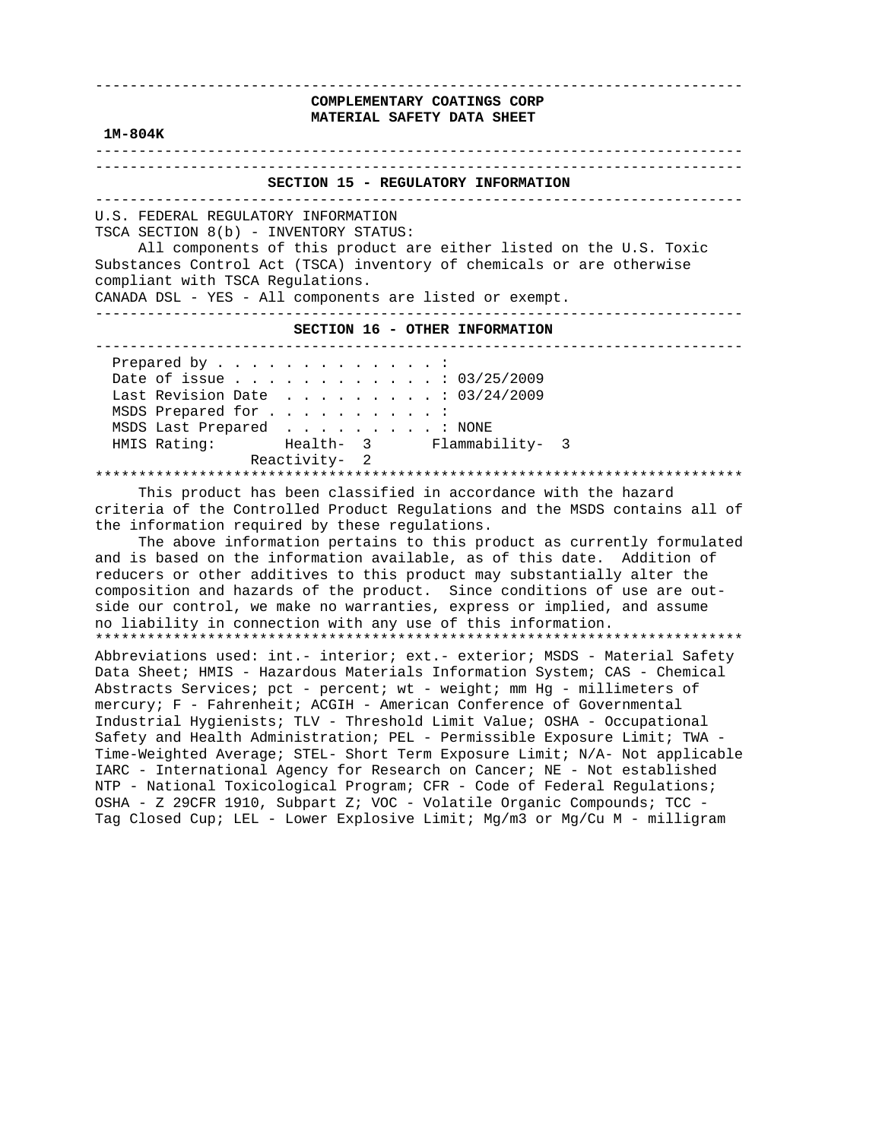| COMPLEMENTARY COATINGS CORP<br>MATERIAL SAFETY DATA SHEET<br>$1M-804K$                                                                                                                                                                                                                                                                                                |
|-----------------------------------------------------------------------------------------------------------------------------------------------------------------------------------------------------------------------------------------------------------------------------------------------------------------------------------------------------------------------|
| SECTION 15 - REGULATORY INFORMATION                                                                                                                                                                                                                                                                                                                                   |
| U.S. FEDERAL REGULATORY INFORMATION<br>TSCA SECTION 8(b) - INVENTORY STATUS:<br>All components of this product are either listed on the U.S. Toxic<br>Substances Control Act (TSCA) inventory of chemicals or are otherwise<br>compliant with TSCA Regulations.<br>CANADA DSL - YES - All components are listed or exempt.                                            |
| SECTION 16 - OTHER INFORMATION                                                                                                                                                                                                                                                                                                                                        |
| Prepared by :<br>Date of issue 03/25/2009<br>Last Revision Date : 03/24/2009<br>MSDS Prepared for :<br>MSDS Last Prepared : NONE<br>HMIS Rating: Thealth- 3 Flammability- 3                                                                                                                                                                                           |
| Reactivity- 2<br>This product has been classified in accordance with the hazard<br>criteria of the Controlled Product Regulations and the MSDS contains all of<br>the information required by these requiations.<br>The above information pertains to this product as currently formulated<br>and is based on the information available, as of this date. Addition of |

 and is based on the information available, as of this date. Addition of reducers or other additives to this product may substantially alter the composition and hazards of the product. Since conditions of use are out side our control, we make no warranties, express or implied, and assume no liability in connection with any use of this information. \*\*\*\*\*\*\*\*\*\*\*\*\*\*\*\*\*\*\*\*\*\*\*\*\*\*\*\*\*\*\*\*\*\*\*\*\*\*\*\*\*\*\*\*\*\*\*\*\*\*\*\*\*\*\*\*\*\*\*\*\*\*\*\*\*\*\*\*\*\*\*\*\*\*\* Abbreviations used: int.- interior; ext.- exterior; MSDS - Material Safety

 Data Sheet; HMIS - Hazardous Materials Information System; CAS - Chemical Abstracts Services; pct - percent; wt - weight; mm Hg - millimeters of mercury; F - Fahrenheit; ACGIH - American Conference of Governmental Industrial Hygienists; TLV - Threshold Limit Value; OSHA - Occupational Safety and Health Administration; PEL - Permissible Exposure Limit; TWA - Time-Weighted Average; STEL- Short Term Exposure Limit; N/A- Not applicable IARC - International Agency for Research on Cancer; NE - Not established NTP - National Toxicological Program; CFR - Code of Federal Regulations; OSHA - Z 29CFR 1910, Subpart Z; VOC - Volatile Organic Compounds; TCC - Tag Closed Cup; LEL - Lower Explosive Limit; Mg/m3 or Mg/Cu M - milligram